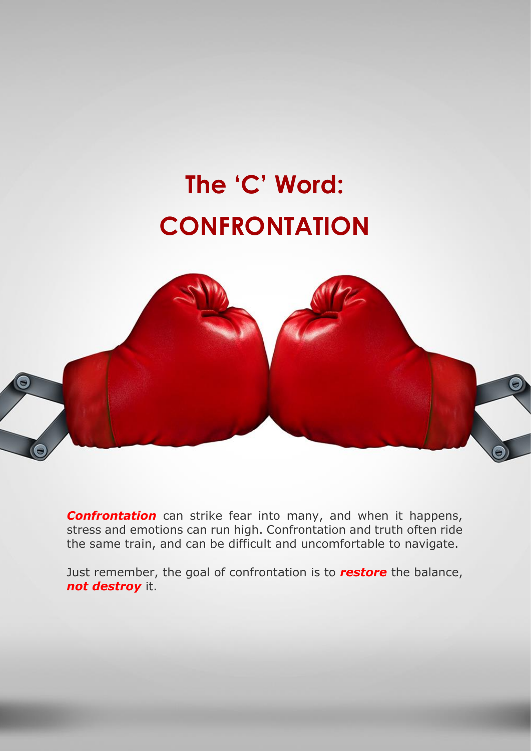## **The 'C' Word: CONFRONTATION**



*Confrontation* can strike fear into many, and when it happens, stress and emotions can run high. Confrontation and truth often ride the same train, and can be difficult and uncomfortable to navigate.

Just remember, the goal of confrontation is to *restore* the balance, *not destroy* it.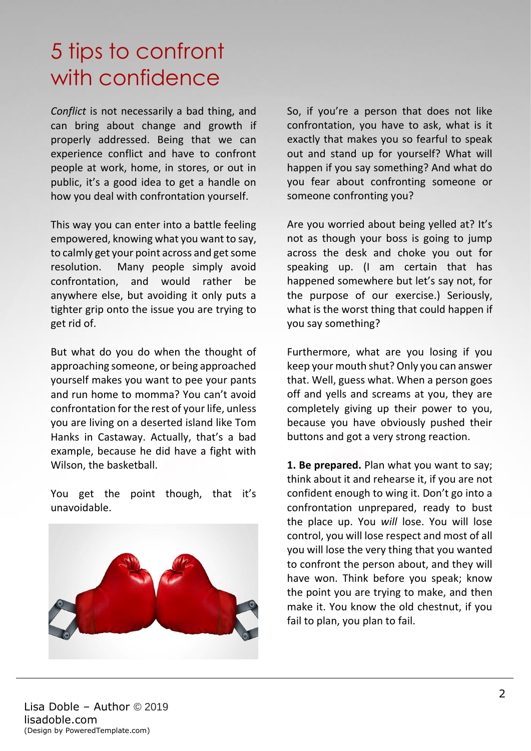## 5 tips to confront with confidence

*Conflict* is not necessarily a bad thing, and can bring about change and growth if properly addressed. Being that we can experience conflict and have to confront people at work, home, in stores, or out in public, it's a good idea to get a handle on how you deal with confrontation yourself.

This way you can enter into a battle feeling empowered, knowing what you want to say, to calmly get your point across and get some resolution. Many people simply avoid confrontation, and would rather be anywhere else, but avoiding it only puts a tighter grip onto the issue you are trying to get rid of.

But what do you do when the thought of approaching someone, or being approached yourself makes you want to pee your pants and run home to momma? You can't avoid confrontation for the rest of your life, unless you are living on a deserted island like Tom Hanks in Castaway. Actually, that's a bad example, because he did have a fight with Wilson, the basketball.

You get the point though, that it's unavoidable.



So, if you're a person that does not like confrontation, you have to ask, what is it exactly that makes you so fearful to speak out and stand up for yourself? What will happen if you say something? And what do you fear about confronting someone or someone confronting you?

Are you worried about being yelled at? It's not as though your boss is going to jump across the desk and choke you out for speaking up. (I am certain that has happened somewhere but let's say not, for the purpose of our exercise.) Seriously, what is the worst thing that could happen if you say something?

Furthermore, what are you losing if you keep your mouth shut? Only you can answer that. Well, guess what. When a person goes off and yells and screams at you, they are completely giving up their power to you, because you have obviously pushed their buttons and got a very strong reaction.

**1. Be prepared.** Plan what you want to say; think about it and rehearse it, if you are not confident enough to wing it. Don't go into a confrontation unprepared, ready to bust the place up. You *will* lose. You will lose control, you will lose respect and most of all you will lose the very thing that you wanted to confront the person about, and they will have won. Think before you speak; know the point you are trying to make, and then make it. You know the old chestnut, if you fail to plan, you plan to fail.